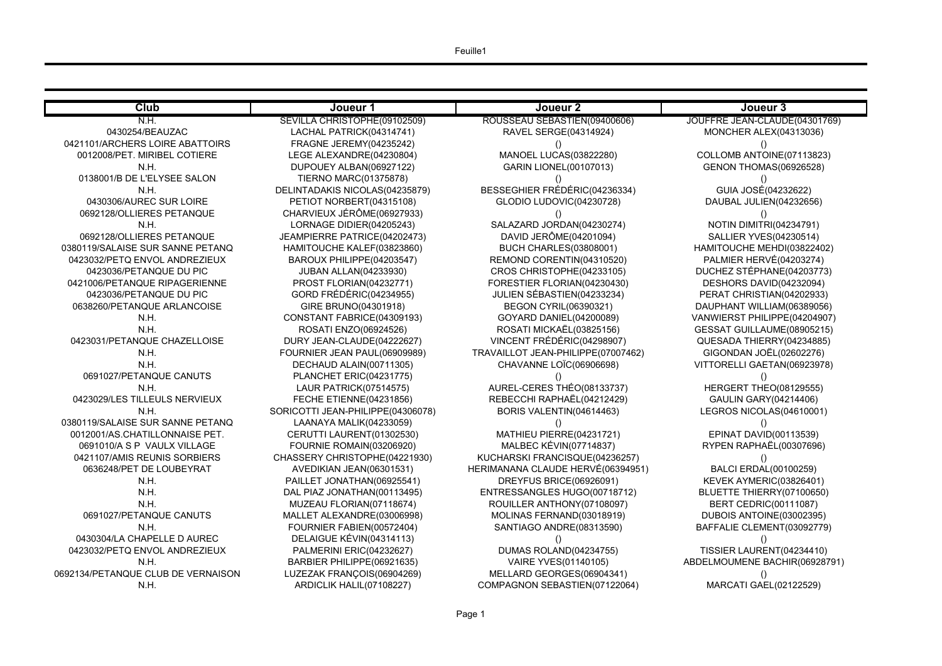RE JEAN-CLAUDE(04301769) 0NCHER ALEX(04313036) LOMB ANTOINE(07113823)  $E$ NON THOMAS $(06926528)$ GUIA JOSÉ(04232622) **AUBAL JULIEN(04232656)** OTIN DIMITRI(04234791) ALLIER YVES(04230514) **ITOUCHE MEHDI(03822402)** 1225 LERVÉ(04203274) HEZ STÉPHANE(04203773): SHORS DAVID(04232094) RAT CHRISTIAN(04202933) PHANT WILLIAM(06389056) VIERST PHILIPPE(04204907) SAT GUILLAUME(08905215) E SADA THI ERRY (04234885) SONDAN JOËL(02602276) ORELLI GAETAN(06923978) **R. LAURE PARK PATRICK**<br>FRGERT THEO(08129555) 6281206)<br>GE **SROS NICOLAS(04610001)** PINAT DAVID(00113539) PEN RAPHAËL(00307696) 8ALCI ERDAL(00100259)  $NEN$  AYMERIC(03826401) **JETTE THIERRY(07100650)** ERT CEDRIC(00111087) BOIS ANTOINE(03002395) FALIE CLEMENT(03092779)  $SIER LAURENT(04234410)$ MOUMENE BACHIR(06928791)

ARCATI GAEL(02122529)

| Club                               | Joueur 1                          | Joueur 2                           | Joueur 3                  |
|------------------------------------|-----------------------------------|------------------------------------|---------------------------|
| N.H.                               | SEVILLA CHRISTOPHE(09102509)      | ROUSSEAU SÉBASTIEN(09400606)       | <b>JOUFFRE JEAN-CLAUD</b> |
| 0430254/BEAUZAC                    | LACHAL PATRICK(04314741)          | RAVEL SERGE(04314924)              | MONCHER ALEX(0            |
| 0421101/ARCHERS LOIRE ABATTOIRS    | <b>FRAGNE JEREMY(04235242)</b>    |                                    |                           |
| 0012008/PET. MIRIBEL COTIERE       | LEGE ALEXANDRE(04230804)          | <b>MANOEL LUCAS(03822280)</b>      | <b>COLLOMB ANTOINE</b>    |
| N.H.                               | DUPOUEY ALBAN(06927122)           | <b>GARIN LIONEL (00107013)</b>     | <b>GENON THOMAS(0</b>     |
| 0138001/B DE L'ELYSEE SALON        | <b>TIERNO MARC(01375878)</b>      |                                    |                           |
| N.H.                               | DELINTADAKIS NICOLAS(04235879)    | BESSEGHIER FRÉDÉRIC(04236334)      | GUIA JOSÉ(0423            |
| 0430306/AUREC SUR LOIRE            | PETIOT NORBERT(04315108)          | GLODIO LUDOVIC(04230728)           | DAUBAL JULIEN(04          |
| 0692128/OLLIERES PETANQUE          | CHARVIEUX JÉRÔME(06927933)        |                                    |                           |
| N.H.                               | LORNAGE DIDIER(04205243)          | SALAZARD JORDAN(04230274)          | <b>NOTIN DIMITRI(04</b>   |
| 0692128/OLLIERES PETANQUE          | JEAMPIERRE PATRICE(04202473)      | DAVID JERÔME(04201094)             | <b>SALLIER YVES(04</b>    |
| 0380119/SALAISE SUR SANNE PETANQ   | HAMITOUCHE KALEF(03823860)        | <b>BUCH CHARLES(03808001)</b>      | <b>HAMITOUCHE MEHDI</b>   |
| 0423032/PETQ ENVOL ANDREZIEUX      | BAROUX PHILIPPE(04203547)         | REMOND CORENTIN(04310520)          | PALMIER HERVÉ(0           |
| 0423036/PETANQUE DU PIC            | <b>JUBAN ALLAN(04233930)</b>      | CROS CHRISTOPHE(04233105)          | DUCHEZ STÉPHANE           |
| 0421006/PETANQUE RIPAGERIENNE      | PROST FLORIAN(04232771)           | FORESTIER FLORIAN(04230430)        | <b>DESHORS DAVID(0</b>    |
| 0423036/PETANQUE DU PIC            | GORD FRÉDÉRIC(04234955)           | JULIEN SÉBASTIEN (04233234)        | PERAT CHRISTIAN(          |
| 0638260/PETANQUE ARLANCOISE        | GIRE BRUNO(04301918)              | <b>BEGON CYRIL(06390321)</b>       | <b>DAUPHANT WILLIAM</b>   |
| N.H.                               | CONSTANT FABRICE(04309193)        | GOYARD DANIEL(04200089)            | <b>VANWIERST PHILIPPE</b> |
| N.H.                               | ROSATI ENZO(06924526)             | ROSATI MICKAËL(03825156)           | <b>GESSAT GUILLAUME</b>   |
| 0423031/PETANQUE CHAZELLOISE       | DURY JEAN-CLAUDE(04222627)        | VINCENT FRÉDÉRIC(04298907)         | <b>QUESADA THIERRY</b>    |
| N.H.                               | FOURNIER JEAN PAUL(06909989)      | TRAVAILLOT JEAN-PHILIPPE(07007462) | GIGONDAN JOËL(0           |
| N.H.                               | DECHAUD ALAIN(00711305)           | CHAVANNE LOÏC(06906698)            | <b>VITTORELLI GAETAN</b>  |
| 0691027/PETANQUE CANUTS            | PLANCHET ERIC(04231775)           |                                    |                           |
| N.H.                               | <b>LAUR PATRICK(07514575)</b>     | AUREL-CERES THÉO(08133737)         | HERGERT THEO(0            |
| 0423029/LES TILLEULS NERVIEUX      | <b>FECHE ETIENNE(04231856)</b>    | REBECCHI RAPHAËL(04212429)         | <b>GAULIN GARY(04)</b>    |
| N.H.                               | SORICOTTI JEAN-PHILIPPE(04306078) | BORIS VALENTIN(04614463)           | <b>LEGROS NICOLAS(I</b>   |
| 0380119/SALAISE SUR SANNE PETANQ   | LAANAYA MALIK(04233059)           |                                    |                           |
| 0012001/AS.CHATILLONNAISE PET.     | CERUTTI LAURENT(01302530)         | MATHIEU PIERRE(04231721)           | EPINAT DAVID(00           |
| 0691010/A S P VAULX VILLAGE        | FOURNIE ROMAIN(03206920)          | <b>MALBEC KÉVIN(07714837)</b>      | RYPEN RAPHAËL(0           |
| 0421107/AMIS REUNIS SORBIERS       | CHASSERY CHRISTOPHE(04221930)     | KUCHARSKI FRANCISQUE(04236257)     |                           |
| 0636248/PET DE LOUBEYRAT           | AVEDIKIAN JEAN(06301531)          | HERIMANANA CLAUDE HERVÉ(06394951)  | BALCI ERDAL(001           |
| N.H.                               | PAILLET JONATHAN(06925541)        | DREYFUS BRICE(06926091)            | <b>KEVEK AYMERIC(0</b>    |
| N.H.                               | DAL PIAZ JONATHAN(00113495)       | ENTRESSANGLES HUGO(00718712)       | <b>BLUETTE THIERRY(</b>   |
| N.H.                               | MUZEAU FLORIAN(07118674)          | ROUILLER ANTHONY(07108097)         | <b>BERT CEDRIC(00</b>     |
| 0691027/PETANQUE CANUTS            | MALLET ALEXANDRE(03006998)        | MOLINAS FERNAND(03018919)          | <b>DUBOIS ANTOINE(C</b>   |
| N.H.                               | FOURNIER FABIEN(00572404)         | SANTIAGO ANDRE(08313590)           | <b>BAFFALIE CLEMENT</b>   |
| 0430304/LA CHAPELLE D AUREC        | DELAIGUE KÉVIN(04314113)          |                                    |                           |
| 0423032/PETQ ENVOL ANDREZIEUX      | PALMERINI ERIC(04232627)          | DUMAS ROLAND(04234755)             | <b>TISSIER LAURENT(I</b>  |
| N.H.                               | BARBIER PHILIPPE(06921635)        | VAIRE YVES(01140105)               | ABDELMOUMENE BACH         |
| 0692134/PETANQUE CLUB DE VERNAISON | LUZEZAK FRANÇOIS(06904269)        | MELLARD GEORGES(06904341)          |                           |
| N.H.                               | ARDICLIK HALIL(07108227)          | COMPAGNON SEBASTIEN(07122064)      | <b>MARCATI GAEL(02</b>    |
|                                    |                                   |                                    |                           |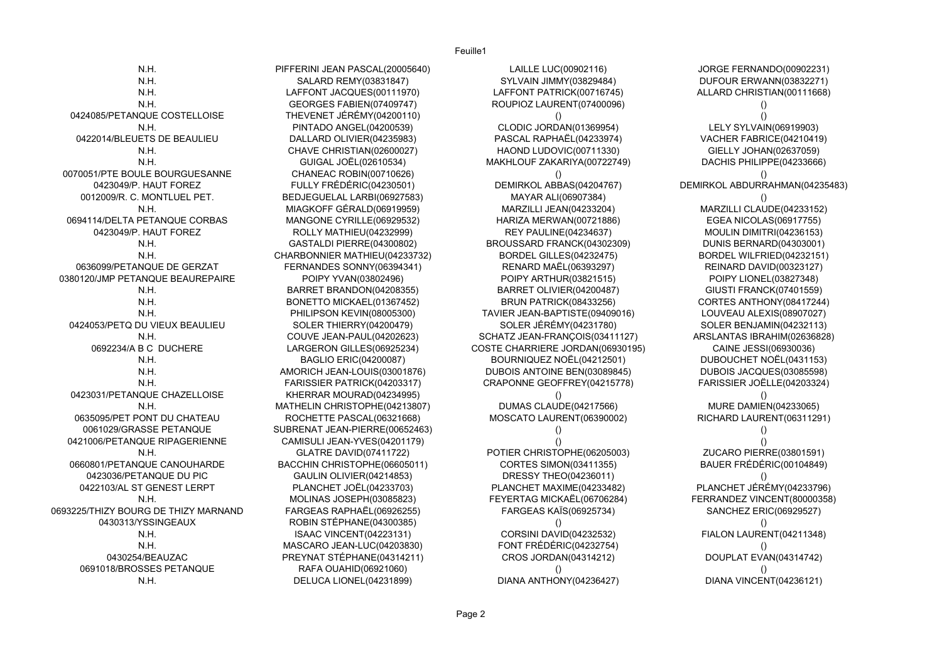N.H. PIFFERINI JEAN PASCAL(20005640) LAILLE LUC(00902116) JORGE FERNANDO(00902231) N.H. SALARD REMY(03831847) SYLVAIN JIMMY(03829484) DUFOUR ERWANN(03832271) N.H. LAFFONT JACQUES(00111970) LAFFONT PATRICK(00716745) ALLARD CHRISTIAN(00111668) N.H. GEORGES FABIEN(07409747) ROUPIOZ LAURENT(07400096) () 0424085/PETANQUE COSTELLOISE THEVENET JÉRÉMY(04200110) () () N.H. PINTADO ANGEL(04200539) CLODIC JORDAN(01369954) LELY SYLVAIN(06919903) 0422014/BLEUETS DE BEAULIEU DALLARD OLIVIER(04235983) PASCAL RAPHAËL(04233974) VACHER FABRICE(04210419) N.H. CHAVE CHRISTIAN(02600027) HAOND LUDOVIC(00711330) GIELLY JOHAN(02637059) N.H. GUIGAL JOËL(02610534) MAKHLOUF ZAKARIYA(00722749) DACHIS PHILIPPE(04233666) 0070051/PTE BOULE BOURGUESANNE CHANEAC ROBIN(00710626) () 0423049/P. HAUT FOREZ FULLY FRÉDÉRIC(04230501) DEMIRKOL ABBAS(04204767) DEMIRKOL ABDURRAHMAN(04235483) 0012009/R. C. MONTLUEL PET. BEDJEGUELAL LARBI(06927583) MAYAR ALI(06907384) () N.H. MIAGKOFF GÉRALD(06919959) MARZILLI JEAN(04233204) MARZILLI CLAUDE(04233152) 0694114/DELTA PETANQUE CORBAS MANGONE CYRILLE(06929532) HARIZA MERWAN(00721886) EGEA NICOLAS(06917755) 0423049/P. HAUT FOREZ ROLLY MATHIEU(04232999) REY PAULINE(04234637) MOULIN DIMITRI(04236153) N.H. GASTALDI PIERRE(04300802) BROUSSARD FRANCK(04302309) DUNIS BERNARD(04303001) N.H. CHARBONNIER MATHIEU(04233732) BORDEL GILLES(04232475) BORDEL WILFRIED(04232151) 0636099/PETANQUE DE GERZAT FERNANDES SONNY(06394341) RENARD MAËL(06393297) REINARD DAVID(00323127) 0380120/JMP PETANQUE BEAUREPAIRE POIPY YVAN(03802496) POIPY ARTHUR(03821515) POIPY LIONEL(03827348) N.H. BARRET BRANDON(04208355) BARRET OLIVIER(04200487) GIUSTI FRANCK(07401559) N.H. BONETTO MICKAEL(01367452) BRUN PATRICK(08433256) CORTES ANTHONY(08417244) N.H. PHILIPSON KEVIN(08005300) TAVIER JEAN-BAPTISTE(09409016) LOUVEAU ALEXIS(08907027) 0424053/PETQ DU VIEUX BEAULIEU SOLER THIERRY(04200479) SOLER JÉRÉMY(04231780) SOLER BENJAMIN(04232113) N.H. COUVE JEAN-PAUL(04202623) SCHATZ JEAN-FRANÇOIS(03411127) ARSLANTAS IBRAHIM(02636828) 0692234/A B C DUCHERE LARGERON GILLES(06925234) COSTE CHARRIERE JORDAN(06930195) CAINE JESSI(06930036) N.H. BAGLIO ERIC(04200087) BOURNIQUEZ NOËL(04212501) DUBOUCHET NOËL(0431153) N.H. AMORICH JEAN-LOUIS(03001876) DUBOIS ANTOINE BEN(03089845) DUBOIS JACQUES(03085598) N.H. FARISSIER PATRICK(04203317) CRAPONNE GEOFFREY(04215778) FARISSIER JOËLLE(04203324) 0423031/PETANQUE CHAZELLOISE KHERRAR MOURAD(04234995) () () N.H. MATHELIN CHRISTOPHE(04213807) DUMAS CLAUDE(04217566) MURE DAMIEN(04233065) 0635095/PET PONT DU CHATEAU ROCHETTE PASCAL(06321668) MOSCATO LAURENT(06390002) RICHARD LAURENT(06311291) 0061029/GRASSE PETANQUE SUBRENAT JEAN-PIERRE(00652463) () () 0421006/PETANQUE RIPAGERIENNE CAMISULI JEAN-YVES(04201179) () () N.H. GLATRE DAVID(07411722) POTIER CHRISTOPHE(06205003) ZUCARO PIERRE(03801591) 0660801/PETANQUE CANOUHARDE BACCHIN CHRISTOPHE(06605011) CORTES SIMON(03411355) BAUER FRÉDÉRIC(00104849) 0423036/PETANQUE DU PIC GAULIN OLIVIER(04214853) DRESSY THEO(04236011) () 0422103/AL ST GENEST LERPT PLANCHET JOËL(04233703) PLANCHET MAXIME(04233482) PLANCHET JÉRÉMY(04233796) N.H. MOLINAS JOSEPH(03085823) FEYERTAG MICKAËL(06706284) FERRANDEZ VINCENT(80000358) 0693225/THIZY BOURG DE THIZY MARNAND FARGEAS RAPHAËL(06926255) FARGEAS KAÏS(06925734) SANCHEZ ERIC(06929527) 0430313/YSSINGEAUX ROBIN STÉPHANE(04300385) () () N.H. ISAAC VINCENT(04223131) CORSINI DAVID(04232532) FIALON LAURENT(04211348) N.H. MASCARO JEAN-LUC(04203830) FONT FRÉDÉRIC(04232754) () 0430254/BEAUZAC PREYNAT STÉPHANE(04314211) CROS JORDAN(04314212) DOUPLAT EVAN(04314742) 0691018/BROSSES PETANQUE RAFA OUAHID(06921060) () () N.H. DELUCA LIONEL(04231899) DIANA ANTHONY(04236427) DIANA VINCENT(04236121)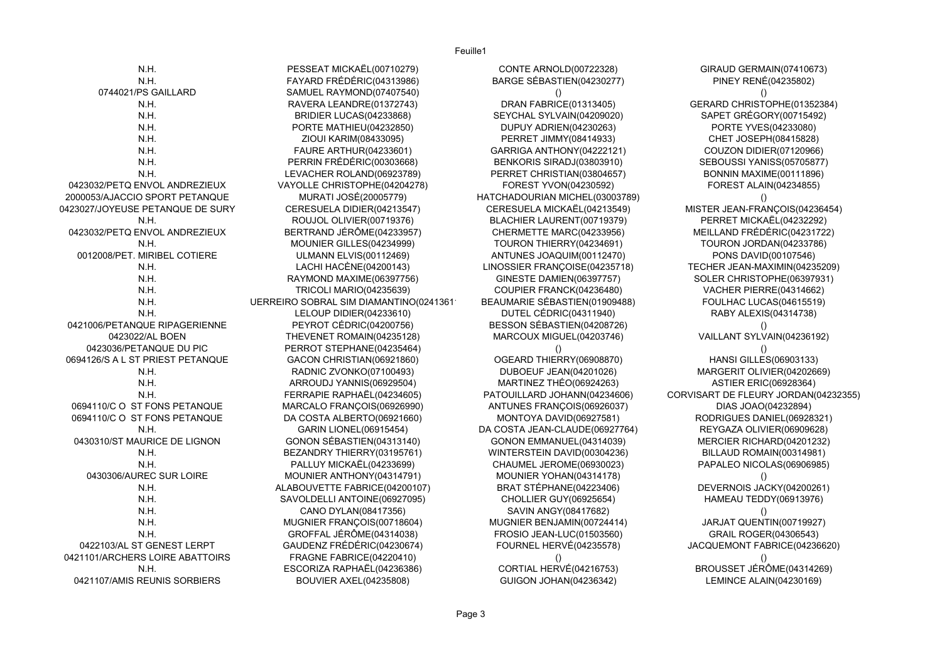GIRAUD GERMAIN(07410673) PINEY RENÉ(04235802) GERARD CHRISTOPHE(01352384) SAPET GRÉGORY(00715492) PORTE YVES(04233080) CHET JOSEPH(08415828) COUZON DIDIER(07120966) SEBOUSSI YANISS(05705877) BONNIN MAXIME(00111896) FOREST ALAIN(04234855) PERRET MICKAËL(04232292) MEILLAND FRÉDÉRIC(04231722) TOURON JORDAN(04233786) PONS DAVID(00107546) TECHER JEAN-MAXIMIN(04235209) SOLER CHRISTOPHE(06397931) VACHER PIERRE(04314662) FOULHAC LUCAS(04615519) RABY ALEXIS(04314738) VAILLANT SYLVAIN(04236192) HANSI GILLES(06903133) MARGERIT OLIVIER(04202669) ASTIER ERIC(06928364) /ISART DE FLEURY JORDAN(04232355) DIAS JOAO(04232894) RODRIGUES DANIEL(06928321) REYGAZA OLIVIER(06909628) MERCIER RICHARD(04201232) BILLAUD ROMAIN(00314981) PAPALEO NICOLAS(06906985) DEVERNOIS JACKY(04200261) HAMEAU TEDDY(06913976) JARJAT QUENTIN(00719927) GRAIL ROGER(04306543) JACQUEMONT FABRICE(04236620) BROUSSET JÉRÔME(04314269) LEMINCE ALAIN(04230169)

| N.H.                             | PESSEAT MICKAËL(00710279)               | <b>CONTE ARNOLD(00722328)</b>   | GIRAUD GERMAIN(07410673)         |
|----------------------------------|-----------------------------------------|---------------------------------|----------------------------------|
| N.H.                             | FAYARD FRÉDÉRIC(04313986)               | BARGE SÉBASTIEN(04230277)       | <b>PINEY RENÉ(04235802)</b>      |
| 0744021/PS GAILLARD              | SAMUEL RAYMOND(07407540)                |                                 |                                  |
| N.H.                             | RAVERA LEANDRE(01372743)                | <b>DRAN FABRICE(01313405)</b>   | GERARD CHRISTOPHE(01352384)      |
| N.H.                             | <b>BRIDIER LUCAS(04233868)</b>          | SEYCHAL SYLVAIN(04209020)       | SAPET GRÉGORY(00715492)          |
| N.H.                             | PORTE MATHIEU(04232850)                 | DUPUY ADRIEN(04230263)          | PORTE YVES(04233080)             |
| N.H.                             | ZIOUI KARIM(08433095)                   | <b>PERRET JIMMY(08414933)</b>   | CHET JOSEPH(08415828)            |
| N.H.                             | <b>FAURE ARTHUR(04233601)</b>           | GARRIGA ANTHONY(04222121)       | <b>COUZON DIDIER(07120966)</b>   |
| N.H.                             | PERRIN FRÉDÉRIC(00303668)               | BENKORIS SIRADJ(03803910)       | SEBOUSSI YANISS(05705877)        |
| N.H.                             | LEVACHER ROLAND(06923789)               | PERRET CHRISTIAN(03804657)      | <b>BONNIN MAXIME(00111896)</b>   |
| 0423032/PETQ ENVOL ANDREZIEUX    | VAYOLLE CHRISTOPHE(04204278)            | FOREST YVON(04230592)           | <b>FOREST ALAIN(04234855)</b>    |
| 2000053/AJACCIO SPORT PETANQUE   | MURATI JOSÉ(20005779)                   | HATCHADOURIAN MICHEL(03003789)  |                                  |
| 0423027/JOYEUSE PETANQUE DE SURY | CERESUELA DIDIER(04213547)              | CERESUELA MICKAËL(04213549)     | MISTER JEAN-FRANÇOIS(04236454)   |
| N.H.                             | ROUJOL OLIVIER(00719376)                | BLACHIER LAURENT(00719379)      | PERRET MICKAËL(04232292)         |
| 0423032/PETQ ENVOL ANDREZIEUX    | BERTRAND JÉRÔME(04233957)               | CHERMETTE MARC(04233956)        | MEILLAND FRÉDÉRIC(04231722)      |
| N.H.                             | MOUNIER GILLES(04234999)                | TOURON THIERRY(04234691)        | TOURON JORDAN(04233786)          |
| 0012008/PET. MIRIBEL COTIERE     | <b>ULMANN ELVIS(00112469)</b>           | ANTUNES JOAQUIM(00112470)       | PONS DAVID(00107546)             |
| N.H.                             | LACHI HACÈNE(04200143)                  | LINOSSIER FRANÇOISE(04235718)   | TECHER JEAN-MAXIMIN(04235209)    |
| N.H.                             | RAYMOND MAXIME(06397756)                | <b>GINESTE DAMIEN(06397757)</b> | SOLER CHRISTOPHE(06397931)       |
| N.H.                             | <b>TRICOLI MARIO(04235639)</b>          | COUPIER FRANCK(04236480)        | VACHER PIERRE(04314662)          |
| N.H.                             | UERREIRO SOBRAL SIM DIAMANTINO (0241361 | BEAUMARIE SÉBASTIEN(01909488)   | FOULHAC LUCAS(04615519)          |
| N.H.                             | LELOUP DIDIER(04233610)                 | DUTEL CÉDRIC(04311940)          | RABY ALEXIS (04314738)           |
| 0421006/PETANQUE RIPAGERIENNE    | PEYROT CÉDRIC(04200756)                 | BESSON SÉBASTIEN(04208726)      |                                  |
| 0423022/AL BOEN                  | THEVENET ROMAIN(04235128)               | MARCOUX MIGUEL(04203746)        | VAILLANT SYLVAIN(04236192)       |
| 0423036/PETANQUE DU PIC          | PERROT STEPHANE(04235464)               |                                 |                                  |
| 0694126/S A L ST PRIEST PETANQUE | GACON CHRISTIAN(06921860)               | OGEARD THIERRY(06908870)        | <b>HANSI GILLES (06903133)</b>   |
| N.H.                             | RADNIC ZVONKO(07100493)                 | DUBOEUF JEAN(04201026)          | MARGERIT OLIVIER(04202669)       |
| N.H.                             | ARROUDJ YANNIS(06929504)                | MARTINEZ THÉO(06924263)         | <b>ASTIER ERIC(06928364)</b>     |
| N.H.                             | FERRAPIE RAPHAËL(04234605)              | PATOUILLARD JOHANN(04234606)    | CORVISART DE FLEURY JORDAN(04232 |
| 0694110/C O ST FONS PETANQUE     | MARCALO FRANÇOIS(06926990)              | ANTUNES FRANÇOIS(06926037)      | DIAS JOAO(04232894)              |
| 0694110/C O ST FONS PETANQUE     | DA COSTA ALBERTO(06921660)              | MONTOYA DAVID(06927581)         | RODRIGUES DANIEL(06928321)       |
| N.H.                             | <b>GARIN LIONEL(06915454)</b>           | DA COSTA JEAN-CLAUDE(06927764)  | REYGAZA OLIVIER(06909628)        |
| 0430310/ST MAURICE DE LIGNON     | GONON SÉBASTIEN(04313140)               | GONON EMMANUEL(04314039)        | MERCIER RICHARD(04201232)        |
| N.H.                             | BEZANDRY THIERRY(03195761)              | WINTERSTEIN DAVID(00304236)     | BILLAUD ROMAIN(00314981)         |
| N.H.                             | PALLUY MICKAËL(04233699)                | CHAUMEL JEROME(06930023)        | PAPALEO NICOLAS(06906985)        |
| 0430306/AUREC SUR LOIRE          | MOUNIER ANTHONY(04314791)               | MOUNIER YOHAN(04314178)         |                                  |
| N.H.                             | ALABOUVETTE FABRICE(04200107)           | BRAT STÉPHANE(04223406)         | DEVERNOIS JACKY(04200261)        |
| N.H.                             | SAVOLDELLI ANTOINE(06927095)            | <b>CHOLLIER GUY(06925654)</b>   | HAMEAU TEDDY(06913976)           |
| N.H.                             | CANO DYLAN(08417356)                    | SAVIN ANGY(08417682)            |                                  |
| N.H.                             | MUGNIER FRANÇOIS(00718604)              | MUGNIER BENJAMIN(00724414)      | JARJAT QUENTIN(00719927)         |
| N.H.                             | GROFFAL JÉRÔME(04314038)                | FROSIO JEAN-LUC(01503560)       | <b>GRAIL ROGER(04306543)</b>     |
| 0422103/AL ST GENEST LERPT       | GAUDENZ FRÉDÉRIC(04230674)              | <b>FOURNEL HERVÉ(04235578)</b>  | JACQUEMONT FABRICE(04236620)     |
| 0421101/ARCHERS LOIRE ABATTOIRS  | FRAGNE FABRICE(04220410)                |                                 |                                  |
| N.H.                             | ESCORIZA RAPHAËL(04236386)              | <b>CORTIAL HERVÉ(04216753)</b>  | BROUSSET JÉRÔME(04314269)        |
| 0421107/AMIS REUNIS SORBIERS     | <b>BOUVIER AXEL(04235808)</b>           | <b>GUIGON JOHAN(04236342)</b>   | LEMINCE ALAIN(04230169)          |
|                                  |                                         |                                 |                                  |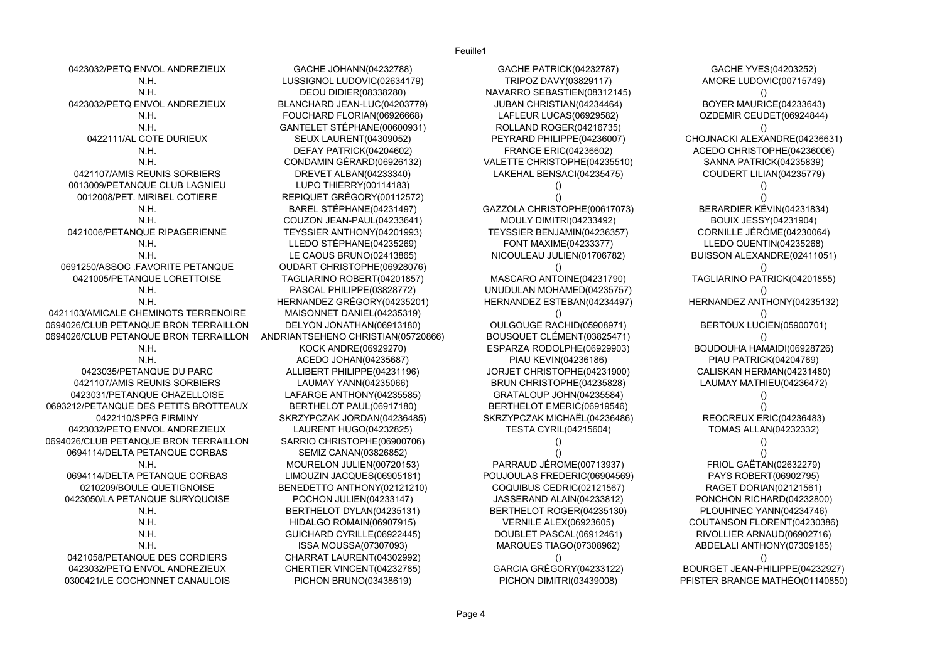Feuille1

| 0423032/PETQ ENVOL ANDREZIEUX         | GACHE JOHANN(04232788)             | GACHE PATRICK(04232787)       | GACHE YVES(04203252)            |
|---------------------------------------|------------------------------------|-------------------------------|---------------------------------|
| N.H.                                  | LUSSIGNOL LUDOVIC(02634179)        | TRIPOZ DAVY(03829117)         | AMORE LUDOVIC(00715749)         |
| N.H.                                  | <b>DEOU DIDIER(08338280)</b>       | NAVARRO SEBASTIEN(08312145)   |                                 |
| 0423032/PETQ ENVOL ANDREZIEUX         | BLANCHARD JEAN-LUC(04203779)       | JUBAN CHRISTIAN (04234464)    | BOYER MAURICE(04233643)         |
| N.H.                                  | FOUCHARD FLORIAN(06926668)         | LAFLEUR LUCAS(06929582)       | OZDEMIR CEUDET(06924844)        |
| N.H.                                  | GANTELET STEPHANE(00600931)        | ROLLAND ROGER(04216735)       |                                 |
| 0422111/AL COTE DURIEUX               | SEUX LAURENT(04309052)             | PEYRARD PHILIPPE(04236007)    | CHOJNACKI ALEXANDRE(04236631)   |
| N.H.                                  | DEFAY PATRICK(04204602)            | FRANCE ERIC(04236602)         | ACEDO CHRISTOPHE(04236006)      |
| N.H.                                  | CONDAMIN GERARD(06926132)          | VALETTE CHRISTOPHE(04235510)  | SANNA PATRICK(04235839)         |
| 0421107/AMIS REUNIS SORBIERS          | DREVET ALBAN(04233340)             | LAKEHAL BENSACI(04235475)     | COUDERT LILIAN(04235779)        |
| 0013009/PETANQUE CLUB LAGNIEU         | LUPO THIERRY(00114183)             |                               |                                 |
| 0012008/PET. MIRIBEL COTIERE          | REPIQUET GREGORY(00112572)         |                               |                                 |
| N.H.                                  | BAREL STÉPHANE(04231497)           | GAZZOLA CHRISTOPHE(00617073)  | BERARDIER KEVIN(04231834)       |
| N.H.                                  | COUZON JEAN-PAUL(04233641)         | MOULY DIMITRI(04233492)       | BOUIX JESSY(04231904)           |
| 0421006/PETANQUE RIPAGERIENNE         | TEYSSIER ANTHONY(04201993)         | TEYSSIER BENJAMIN(04236357)   | CORNILLE JEROME(04230064)       |
| N.H.                                  | LLEDO STÉPHANE(04235269)           | FONT MAXIME(04233377)         | LLEDO QUENTIN(04235268)         |
| N.H.                                  | LE CAOUS BRUNO(02413865)           | NICOULEAU JULIEN(01706782)    | BUISSON ALEXANDRE(02411051)     |
| 0691250/ASSOC FAVORITE PETANQUE       | OUDART CHRISTOPHE(06928076)        |                               |                                 |
| 0421005/PETANQUE LORETTOISE           | TAGLIARINO ROBERT(04201857)        | MASCARO ANTOINE(04231790)     | TAGLIARINO PATRICK(04201855)    |
| N.H.                                  | PASCAL PHILIPPE(03828772)          | UNUDULAN MOHAMED(04235757)    |                                 |
| N.H.                                  | HERNANDEZ GREGORY(04235201)        | HERNANDEZ ESTEBAN(04234497)   | HERNANDEZ ANTHONY(04235132)     |
| 0421103/AMICALE CHEMINOTS TERRENOIRE  | MAISONNET DANIEL(04235319)         |                               |                                 |
| 0694026/CLUB PETANQUE BRON TERRAILLON | DELYON JONATHAN(06913180)          | OULGOUGE RACHID(05908971)     | BERTOUX LUCIEN(05900701)        |
| 0694026/CLUB PETANQUE BRON TERRAILLON | ANDRIANTSEHENO CHRISTIAN(05720866) | BOUSQUET CLEMENT(03825471)    |                                 |
| N.H                                   | KOCK ANDRE(06929270)               | ESPARZA RODOLPHE(06929903)    | BOUDOUHA HAMAIDI(06928726)      |
| N.H.                                  | ACEDO JOHAN(04235687)              | PIAU KEVIN(04236186)          | PIAU PATRICK(04204769)          |
| 0423035/PETANQUE DU PARC              | ALLIBERT PHILIPPE(04231196)        | JORJET CHRISTOPHE(04231900)   | CALISKAN HERMAN(04231480)       |
| 0421107/AMIS REUNIS SORBIERS          | LAUMAY YANN(04235066)              | BRUN CHRISTOPHE(04235828)     | LAUMAY MATHIEU(04236472)        |
| 0423031/PETANQUE CHAZELLOISE          | LAFARGE ANTHONY(04235585)          | GRATALOUP JOHN(04235584)      |                                 |
| 0693212/PETANQUE DES PETITS BROTTEAUX | BERTHELOT PAUL(06917180)           | BERTHELOT EMERIC(06919546)    |                                 |
| 0422110/SPFG FIRMINY                  | SKRZYPCZAK JORDAN(04236485)        | SKRZYPCZAK MICHAËL(04236486)  | REOCREUX ERIC(04236483)         |
| 0423032/PETQ ENVOL ANDREZIEUX         | LAURENT HUGO(04232825)             | <b>TESTA CYRIL(04215604)</b>  | <b>TOMAS ALLAN(04232332)</b>    |
| 0694026/CLUB PETANQUE BRON TERRAILLON | SARRIO CHRISTOPHE(06900706)        |                               |                                 |
| 0694114/DELTA PETANQUE CORBAS         | SEMIZ CANAN(03826852)              |                               |                                 |
| N.H.                                  | MOURELON JULIEN(00720153)          | PARRAUD JÉROME(00713937)      | <b>FRIOL GAËTAN(02632279)</b>   |
| 0694114/DELTA PETANQUE CORBAS         | LIMOUZIN JACQUES(06905181)         | POUJOULAS FREDERIC(06904569)  | PAYS ROBERT(06902795)           |
| 0210209/BOULE QUETIGNOISE             | BENEDETTO ANTHONY(02121210)        | COQUIBUS CEDRIC(02121567)     | RAGET DORIAN(02121561)          |
| 0423050/LA PETANQUE SURYQUOISE        | POCHON JULIEN(04233147)            | JASSERAND ALAIN(04233812)     | PONCHON RICHARD(04232800)       |
| N.H.                                  | BERTHELOT DYLAN(04235131)          | BERTHELOT ROGER(04235130)     | PLOUHINEC YANN(04234746)        |
| N.H.                                  | HIDALGO ROMAIN(06907915)           | <b>VERNILE ALEX(06923605)</b> | COUTANSON FLORENT(04230386)     |
| N.H.                                  | GUICHARD CYRILLE(06922445)         | DOUBLET PASCAL(06912461)      | RIVOLLIER ARNAUD(06902716)      |
| N.H.                                  | <b>ISSA MOUSSA(07307093)</b>       | MARQUES TIAGO(07308962)       | ABDELALI ANTHONY(07309185)      |
| 0421058/PETANQUE DES CORDIERS         | CHARRAT LAURENT(04302992)          |                               |                                 |
| 0423032/PETQ ENVOL ANDREZIEUX         | CHERTIER VINCENT(04232785)         | GARCIA GRÉGORY(04233122)      | BOURGET JEAN-PHILIPPE(04232927) |
| 0300421/LE COCHONNET CANAULOIS        | PICHON BRUNO(03438619)             | PICHON DIMITRI(03439008)      | PFISTER BRANGE MATHÉO(01140850) |
|                                       |                                    |                               |                                 |